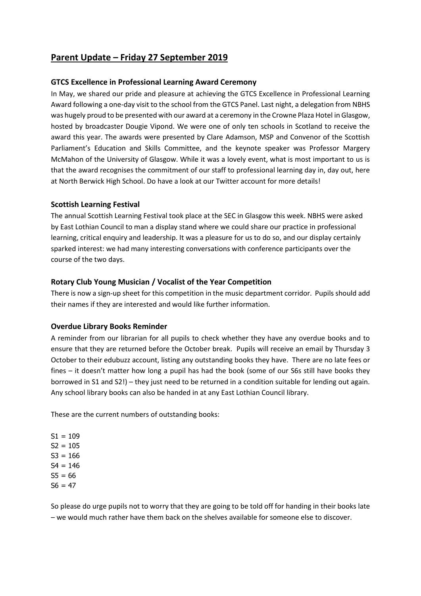# **Parent Update – Friday 27 September 2019**

### **GTCS Excellence in Professional Learning Award Ceremony**

In May, we shared our pride and pleasure at achieving the GTCS Excellence in Professional Learning Award following a one-day visit to the school from the GTCS Panel. Last night, a delegation from NBHS was hugely proud to be presented with our award at a ceremony in the Crowne Plaza Hotel in Glasgow, hosted by broadcaster Dougie Vipond. We were one of only ten schools in Scotland to receive the award this year. The awards were presented by Clare Adamson, MSP and Convenor of the Scottish Parliament's Education and Skills Committee, and the keynote speaker was Professor Margery McMahon of the University of Glasgow. While it was a lovely event, what is most important to us is that the award recognises the commitment of our staff to professional learning day in, day out, here at North Berwick High School. Do have a look at our Twitter account for more details!

#### **Scottish Learning Festival**

The annual Scottish Learning Festival took place at the SEC in Glasgow this week. NBHS were asked by East Lothian Council to man a display stand where we could share our practice in professional learning, critical enquiry and leadership. It was a pleasure for us to do so, and our display certainly sparked interest: we had many interesting conversations with conference participants over the course of the two days.

## **Rotary Club Young Musician / Vocalist of the Year Competition**

There is now a sign-up sheet for this competition in the music department corridor. Pupils should add their names if they are interested and would like further information.

#### **Overdue Library Books Reminder**

A reminder from our librarian for all pupils to check whether they have any overdue books and to ensure that they are returned before the October break. Pupils will receive an email by Thursday 3 October to their edubuzz account, listing any outstanding books they have. There are no late fees or fines – it doesn't matter how long a pupil has had the book (some of our S6s still have books they borrowed in S1 and S2!) – they just need to be returned in a condition suitable for lending out again. Any school library books can also be handed in at any East Lothian Council library.

These are the current numbers of outstanding books:

 $S1 = 109$  $S2 = 105$  $S3 = 166$  $S4 = 146$  $SS = 66$  $S6 = 47$ 

So please do urge pupils not to worry that they are going to be told off for handing in their books late – we would much rather have them back on the shelves available for someone else to discover.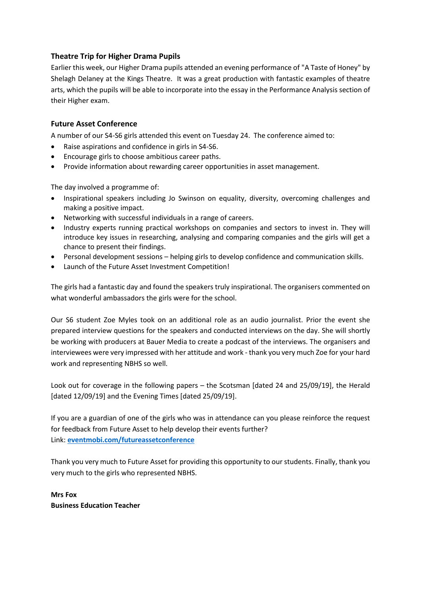# **Theatre Trip for Higher Drama Pupils**

Earlier this week, our Higher Drama pupils attended an evening performance of "A Taste of Honey" by Shelagh Delaney at the Kings Theatre. It was a great production with fantastic examples of theatre arts, which the pupils will be able to incorporate into the essay in the Performance Analysis section of their Higher exam.

## **Future Asset Conference**

A number of our S4-S6 girls attended this event on Tuesday 24. The conference aimed to:

- Raise aspirations and confidence in girls in S4-S6.
- Encourage girls to choose ambitious career paths.
- Provide information about rewarding career opportunities in asset management.

The day involved a programme of:

- Inspirational speakers including Jo Swinson on equality, diversity, overcoming challenges and making a positive impact.
- Networking with successful individuals in a range of careers.
- Industry experts running practical workshops on companies and sectors to invest in. They will introduce key issues in researching, analysing and comparing companies and the girls will get a chance to present their findings.
- Personal development sessions helping girls to develop confidence and communication skills.
- Launch of the Future Asset Investment Competition!

The girls had a fantastic day and found the speakers truly inspirational. The organisers commented on what wonderful ambassadors the girls were for the school.

Our S6 student Zoe Myles took on an additional role as an audio journalist. Prior the event she prepared interview questions for the speakers and conducted interviews on the day. She will shortly be working with producers at Bauer Media to create a podcast of the interviews. The organisers and interviewees were very impressed with her attitude and work - thank you very much Zoe for your hard work and representing NBHS so well.

Look out for coverage in the following papers – the Scotsman [dated 24 and 25/09/19], the Herald [dated 12/09/19] and the Evening Times [dated 25/09/19].

If you are a guardian of one of the girls who was in attendance can you please reinforce the request for feedback from Future Asset to help develop their events further? Link: **[eventmobi.com/futureassetconference](https://mail.elc.school/owa/redir.aspx?C=JQ-tmGW2MA2hCfgH3p7HLaEvxzp-56kWX28UBl0Hgdhk3hfkm0LXCA..&URL=http%3a%2f%2femail.eventmobi.com%2fwf%2fclick%3fupn%3dXK7Pww1r-2FK4BcRY6hJMiL88O4020YA62XS3nVlp7Y3qwetu1pH7ExKm4kuHmAY28Z7f-2BoW0SwJTmjy2GtBRTUA-3D-3D_0rSs0MUd8rrc2bLt3BTQPz0x-2FkzToYyeTM89sXeqv89cjLS77gOV8HE2bnv444m2w29QIi6Ig1JNClOynVko4uzEXeDoiQ1z-2FF7hzj-2BEoYOtCD89s2Njortkvi2P79x9nZ7oggoMlZ-2FNvjq4iaZ3yxPAeinsPUXVtGAnSjYbCe45GOhgdZ4vZ1ydQteod-2BcLzMm68xzDitiIYUAI66msf-2BGgn0hKeTglv5XeZ0QTouUKavJxlKsb3oFLnPxtDMbPe-2FYDS9vVGw9Om-2B0d3HjBaUJAuZI6SKNpYk9Qrj10fmdndMTc47Gx2m5wjSUjG5-2FW0IhpOKqYNKB39UtCdNZuU-2BQivesZ89R1NcxCA8euq3QuHLASiSZNRadhwzV689qi)**

Thank you very much to Future Asset for providing this opportunity to our students. Finally, thank you very much to the girls who represented NBHS.

**Mrs Fox Business Education Teacher**